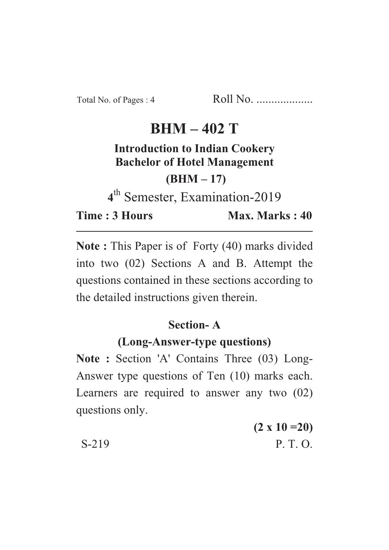# **BHM – 402 T**

#### **Introduction to Indian Cookery Bachelor of Hotel Management**

**(BHM – 17)**

**4** th Semester, Examination-2019

**Time : 3 Hours** Max. Marks : 40

**Note :** This Paper is of Forty (40) marks divided into two (02) Sections A and B. Attempt the questions contained in these sections according to the detailed instructions given therein.

#### **Section- A**

## **(Long-Answer-type questions)**

**Note :** Section 'A' Contains Three (03) Long-Answer type questions of Ten (10) marks each. Learners are required to answer any two (02) questions only.

|         | $(2 \times 10 = 20)$ |
|---------|----------------------|
| $S-219$ | P. T. O.             |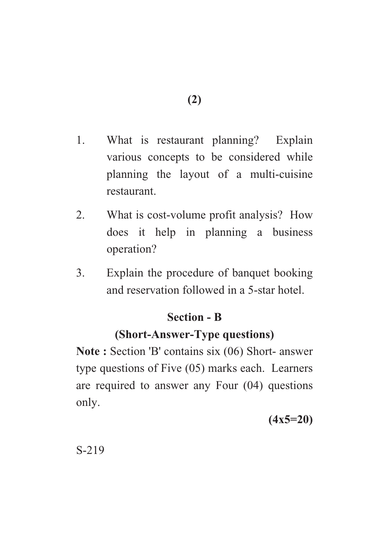- 1. What is restaurant planning? Explain various concepts to be considered while planning the layout of a multi-cuisine restaurant.
- 2. What is cost-volume profit analysis? How does it help in planning a business operation?
- 3. Explain the procedure of banquet booking and reservation followed in a 5-star hotel.

## **Section - B**

## **(Short-Answer-Type questions)**

**Note :** Section 'B' contains six (06) Short- answer type questions of Five (05) marks each. Learners are required to answer any Four (04) questions only.

**(4x5=20)**

S-219